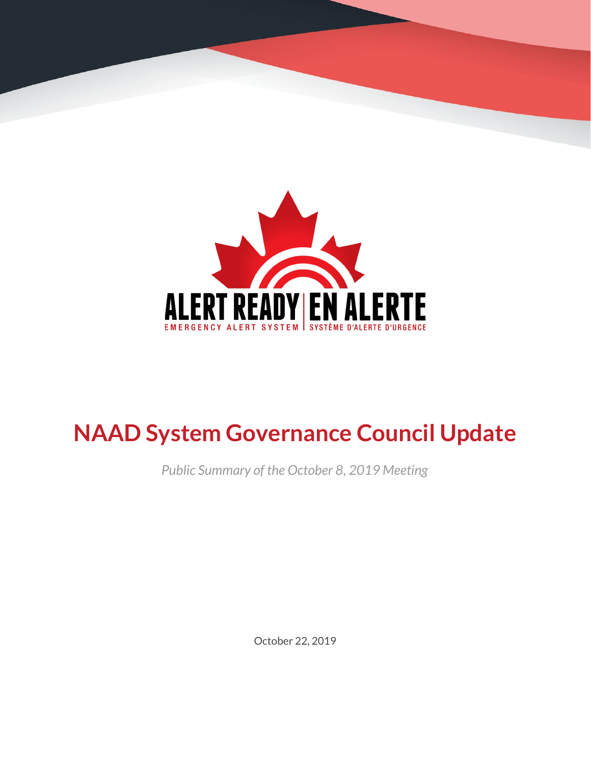

# **NAAD System Governance Council Update**

*Public Summary of the October 8, 2019 Meeting*

October 22, 2019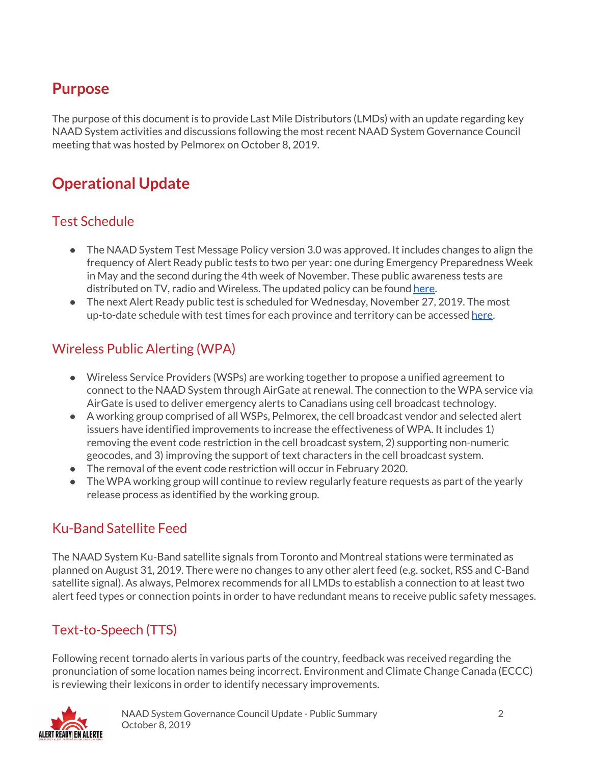## **Purpose**

The purpose of this document is to provide Last Mile Distributors (LMDs) with an update regarding key NAAD System activities and discussions following the most recent NAAD System Governance Council meeting that was hosted by Pelmorex on October 8, 2019.

# **Operational Update**

#### Test Schedule

- The NAAD System Test Message Policy version 3.0 was approved. It includes changes to align the frequency of Alert Ready public tests to two per year: one during Emergency Preparedness Week in May and the second during the 4th week of November. These public awareness tests are distributed on TV, radio and Wireless. The updated policy can be found [here.](https://alerts.pelmorex.com/download/public/public_naads_rules/en/NAAD-System-Test-Message-Policy-EN.pdf)
- The next Alert Ready public test is scheduled for Wednesday, November 27, 2019. The most up-to-date schedule with test times for each province and territory can be accessed [here.](https://alerts.pelmorex.com/public-awareness-test-schedule/)

#### Wireless Public Alerting (WPA)

- Wireless Service Providers (WSPs) are working together to propose a unified agreement to connect to the NAAD System through AirGate at renewal. The connection to the WPA service via AirGate is used to deliver emergency alerts to Canadians using cell broadcast technology.
- A working group comprised of all WSPs, Pelmorex, the cell broadcast vendor and selected alert issuers have identified improvements to increase the effectiveness of WPA. It includes 1) removing the event code restriction in the cell broadcast system, 2) supporting non-numeric geocodes, and 3) improving the support of text characters in the cell broadcast system.
- The removal of the event code restriction will occur in February 2020.
- The WPA working group will continue to review regularly feature requests as part of the yearly release process as identified by the working group.

#### Ku-Band Satellite Feed

The NAAD System Ku-Band satellite signals from Toronto and Montreal stations were terminated as planned on August 31, 2019. There were no changes to any other alert feed (e.g. socket, RSS and C-Band satellite signal). As always, Pelmorex recommends for all LMDs to establish a connection to at least two alert feed types or connection points in order to have redundant means to receive public safety messages.

#### Text-to-Speech (TTS)

Following recent tornado alerts in various parts of the country, feedback was received regarding the pronunciation of some location names being incorrect. Environment and Climate Change Canada (ECCC) is reviewing their lexicons in order to identify necessary improvements.